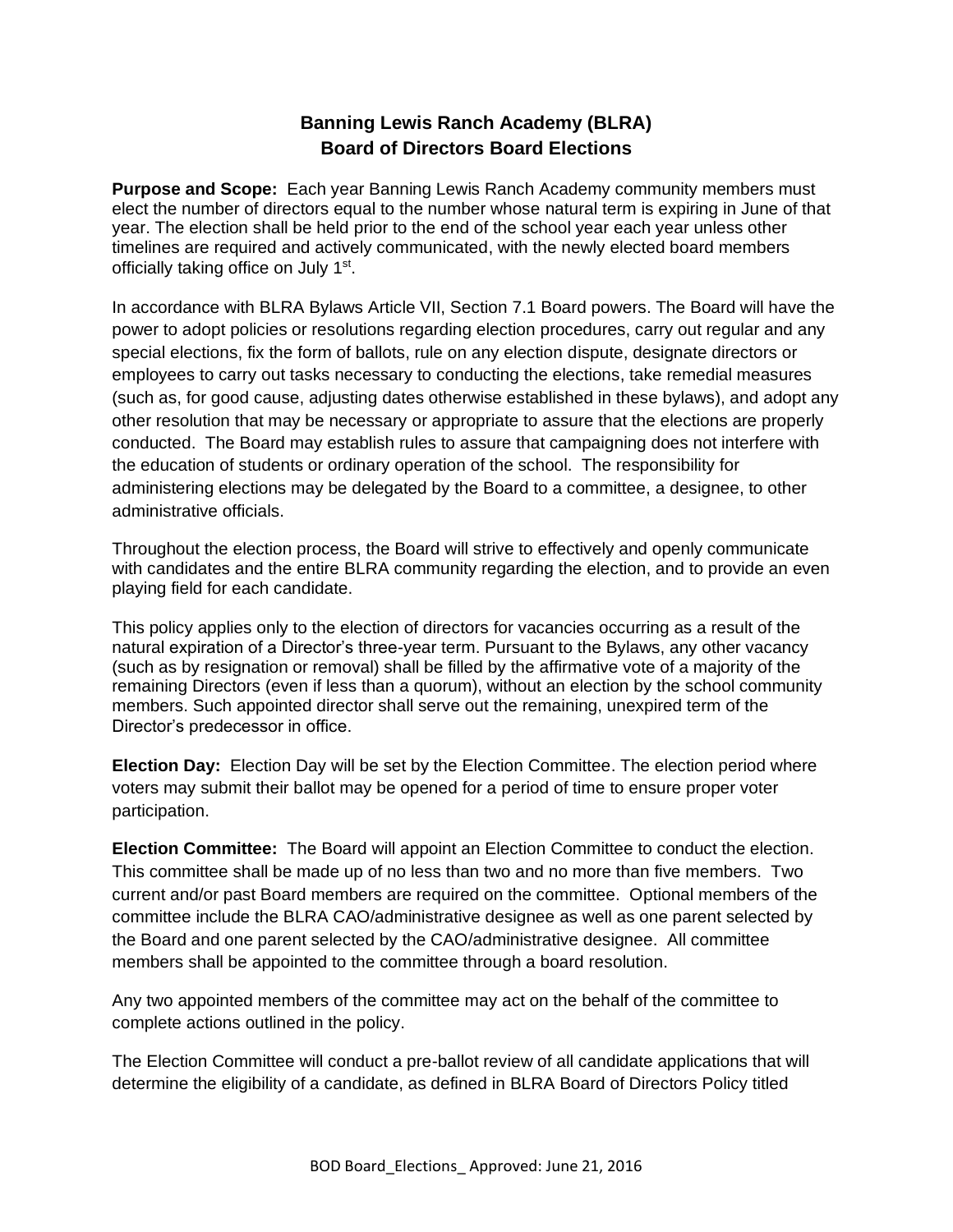## **Banning Lewis Ranch Academy (BLRA) Board of Directors Board Elections**

**Purpose and Scope:** Each year Banning Lewis Ranch Academy community members must elect the number of directors equal to the number whose natural term is expiring in June of that year. The election shall be held prior to the end of the school year each year unless other timelines are required and actively communicated, with the newly elected board members officially taking office on July 1<sup>st</sup>.

In accordance with BLRA Bylaws Article VII, Section 7.1 Board powers. The Board will have the power to adopt policies or resolutions regarding election procedures, carry out regular and any special elections, fix the form of ballots, rule on any election dispute, designate directors or employees to carry out tasks necessary to conducting the elections, take remedial measures (such as, for good cause, adjusting dates otherwise established in these bylaws), and adopt any other resolution that may be necessary or appropriate to assure that the elections are properly conducted. The Board may establish rules to assure that campaigning does not interfere with the education of students or ordinary operation of the school. The responsibility for administering elections may be delegated by the Board to a committee, a designee, to other administrative officials.

Throughout the election process, the Board will strive to effectively and openly communicate with candidates and the entire BLRA community regarding the election, and to provide an even playing field for each candidate.

This policy applies only to the election of directors for vacancies occurring as a result of the natural expiration of a Director's three-year term. Pursuant to the Bylaws, any other vacancy (such as by resignation or removal) shall be filled by the affirmative vote of a majority of the remaining Directors (even if less than a quorum), without an election by the school community members. Such appointed director shall serve out the remaining, unexpired term of the Director's predecessor in office.

**Election Day:** Election Day will be set by the Election Committee. The election period where voters may submit their ballot may be opened for a period of time to ensure proper voter participation.

**Election Committee:** The Board will appoint an Election Committee to conduct the election. This committee shall be made up of no less than two and no more than five members. Two current and/or past Board members are required on the committee. Optional members of the committee include the BLRA CAO/administrative designee as well as one parent selected by the Board and one parent selected by the CAO/administrative designee. All committee members shall be appointed to the committee through a board resolution.

Any two appointed members of the committee may act on the behalf of the committee to complete actions outlined in the policy.

The Election Committee will conduct a pre-ballot review of all candidate applications that will determine the eligibility of a candidate, as defined in BLRA Board of Directors Policy titled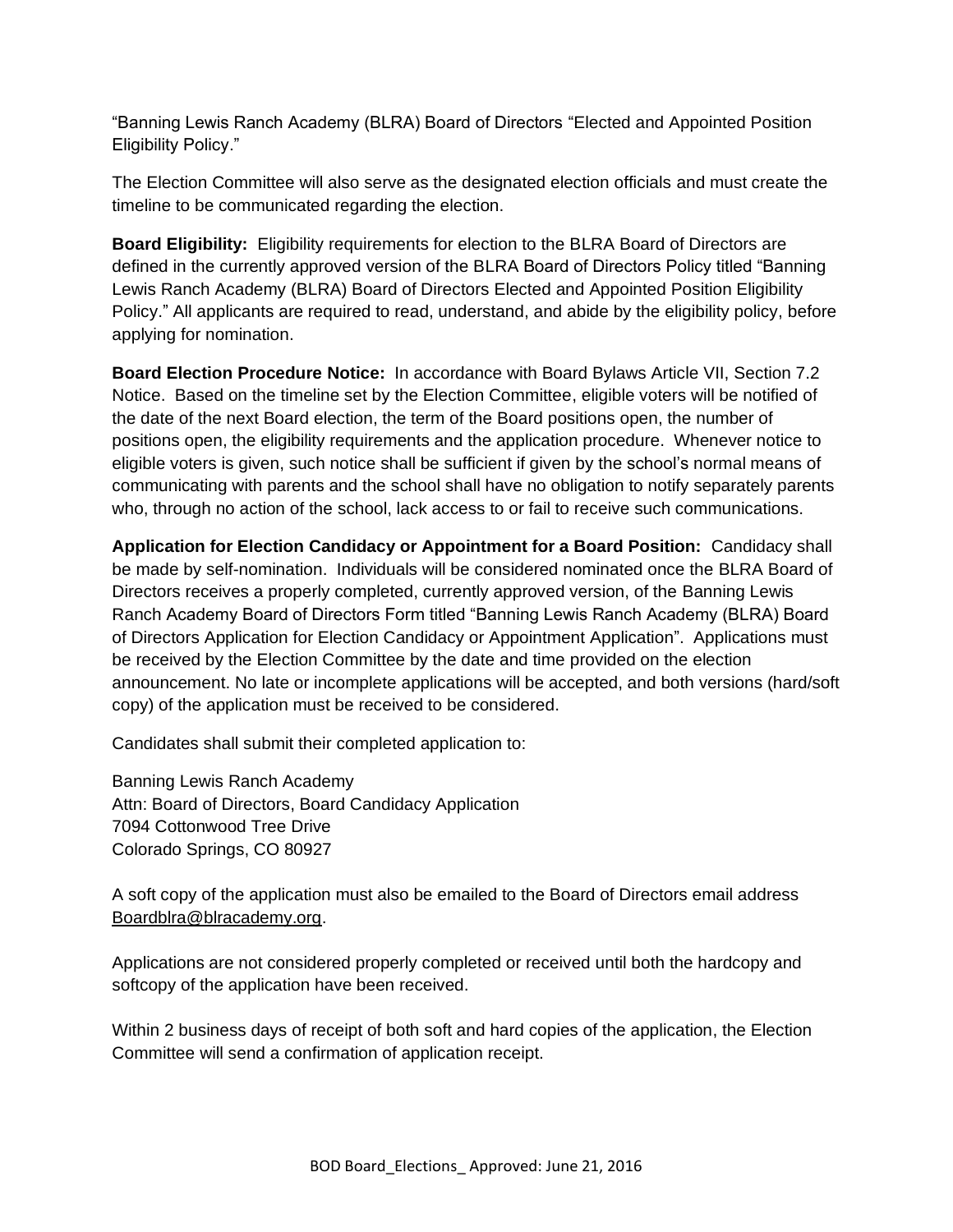"Banning Lewis Ranch Academy (BLRA) Board of Directors "Elected and Appointed Position Eligibility Policy."

The Election Committee will also serve as the designated election officials and must create the timeline to be communicated regarding the election.

**Board Eligibility:** Eligibility requirements for election to the BLRA Board of Directors are defined in the currently approved version of the BLRA Board of Directors Policy titled "Banning Lewis Ranch Academy (BLRA) Board of Directors Elected and Appointed Position Eligibility Policy." All applicants are required to read, understand, and abide by the eligibility policy, before applying for nomination.

**Board Election Procedure Notice:** In accordance with Board Bylaws Article VII, Section 7.2 Notice. Based on the timeline set by the Election Committee, eligible voters will be notified of the date of the next Board election, the term of the Board positions open, the number of positions open, the eligibility requirements and the application procedure. Whenever notice to eligible voters is given, such notice shall be sufficient if given by the school's normal means of communicating with parents and the school shall have no obligation to notify separately parents who, through no action of the school, lack access to or fail to receive such communications.

**Application for Election Candidacy or Appointment for a Board Position:** Candidacy shall be made by self-nomination. Individuals will be considered nominated once the BLRA Board of Directors receives a properly completed, currently approved version, of the Banning Lewis Ranch Academy Board of Directors Form titled "Banning Lewis Ranch Academy (BLRA) Board of Directors Application for Election Candidacy or Appointment Application". Applications must be received by the Election Committee by the date and time provided on the election announcement. No late or incomplete applications will be accepted, and both versions (hard/soft copy) of the application must be received to be considered.

Candidates shall submit their completed application to:

Banning Lewis Ranch Academy Attn: Board of Directors, Board Candidacy Application 7094 Cottonwood Tree Drive Colorado Springs, CO 80927

A soft copy of the application must also be emailed to the Board of Directors email address [Boardblra@blracademy.org.](mailto:Boardblra@blracademy.org)

Applications are not considered properly completed or received until both the hardcopy and softcopy of the application have been received.

Within 2 business days of receipt of both soft and hard copies of the application, the Election Committee will send a confirmation of application receipt.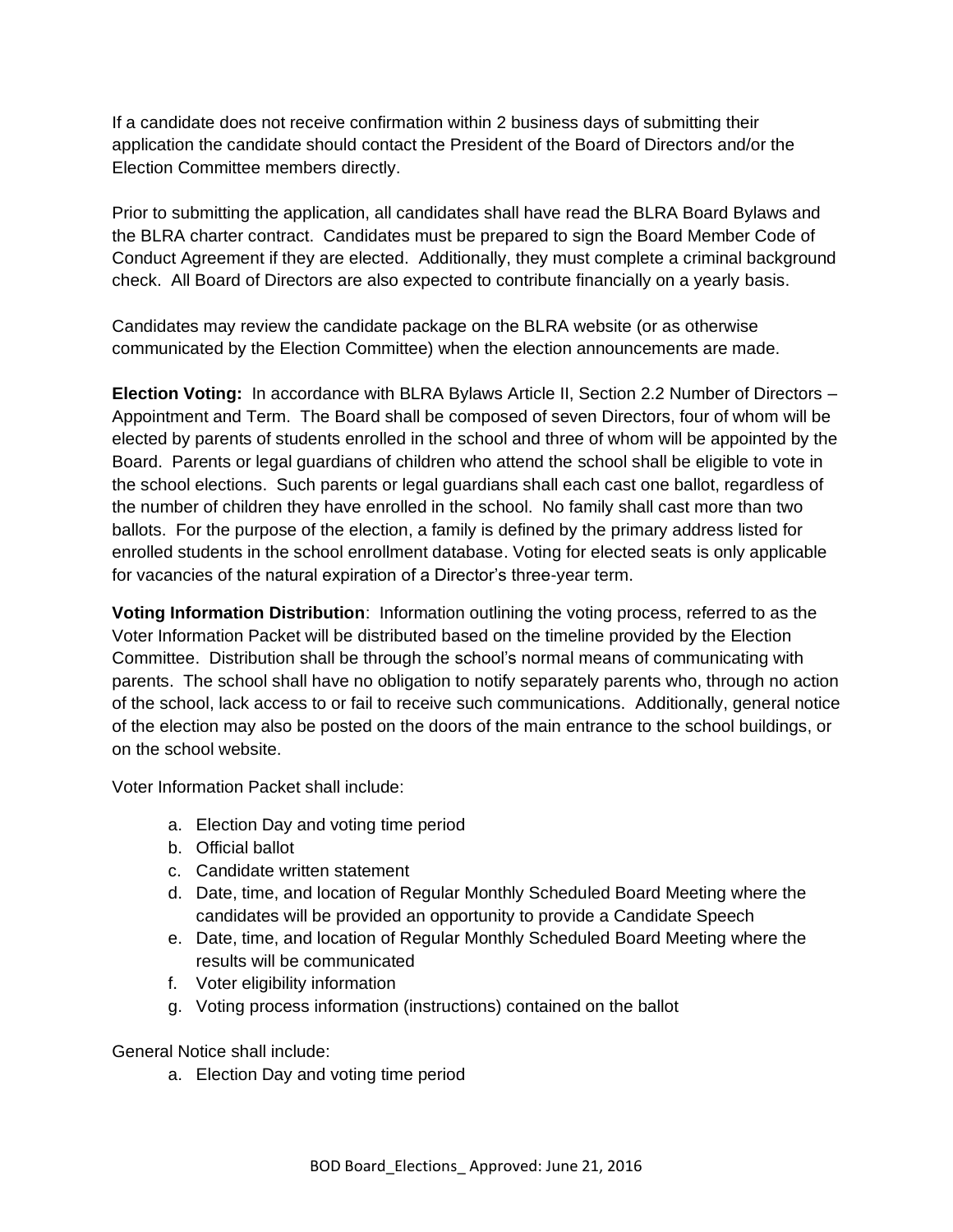If a candidate does not receive confirmation within 2 business days of submitting their application the candidate should contact the President of the Board of Directors and/or the Election Committee members directly.

Prior to submitting the application, all candidates shall have read the BLRA Board Bylaws and the BLRA charter contract. Candidates must be prepared to sign the Board Member Code of Conduct Agreement if they are elected. Additionally, they must complete a criminal background check. All Board of Directors are also expected to contribute financially on a yearly basis.

Candidates may review the candidate package on the BLRA website (or as otherwise communicated by the Election Committee) when the election announcements are made.

**Election Voting:** In accordance with BLRA Bylaws Article II, Section 2.2 Number of Directors – Appointment and Term. The Board shall be composed of seven Directors, four of whom will be elected by parents of students enrolled in the school and three of whom will be appointed by the Board. Parents or legal guardians of children who attend the school shall be eligible to vote in the school elections. Such parents or legal guardians shall each cast one ballot, regardless of the number of children they have enrolled in the school. No family shall cast more than two ballots. For the purpose of the election, a family is defined by the primary address listed for enrolled students in the school enrollment database. Voting for elected seats is only applicable for vacancies of the natural expiration of a Director's three-year term.

**Voting Information Distribution**: Information outlining the voting process, referred to as the Voter Information Packet will be distributed based on the timeline provided by the Election Committee. Distribution shall be through the school's normal means of communicating with parents. The school shall have no obligation to notify separately parents who, through no action of the school, lack access to or fail to receive such communications. Additionally, general notice of the election may also be posted on the doors of the main entrance to the school buildings, or on the school website.

Voter Information Packet shall include:

- a. Election Day and voting time period
- b. Official ballot
- c. Candidate written statement
- d. Date, time, and location of Regular Monthly Scheduled Board Meeting where the candidates will be provided an opportunity to provide a Candidate Speech
- e. Date, time, and location of Regular Monthly Scheduled Board Meeting where the results will be communicated
- f. Voter eligibility information
- g. Voting process information (instructions) contained on the ballot

General Notice shall include:

a. Election Day and voting time period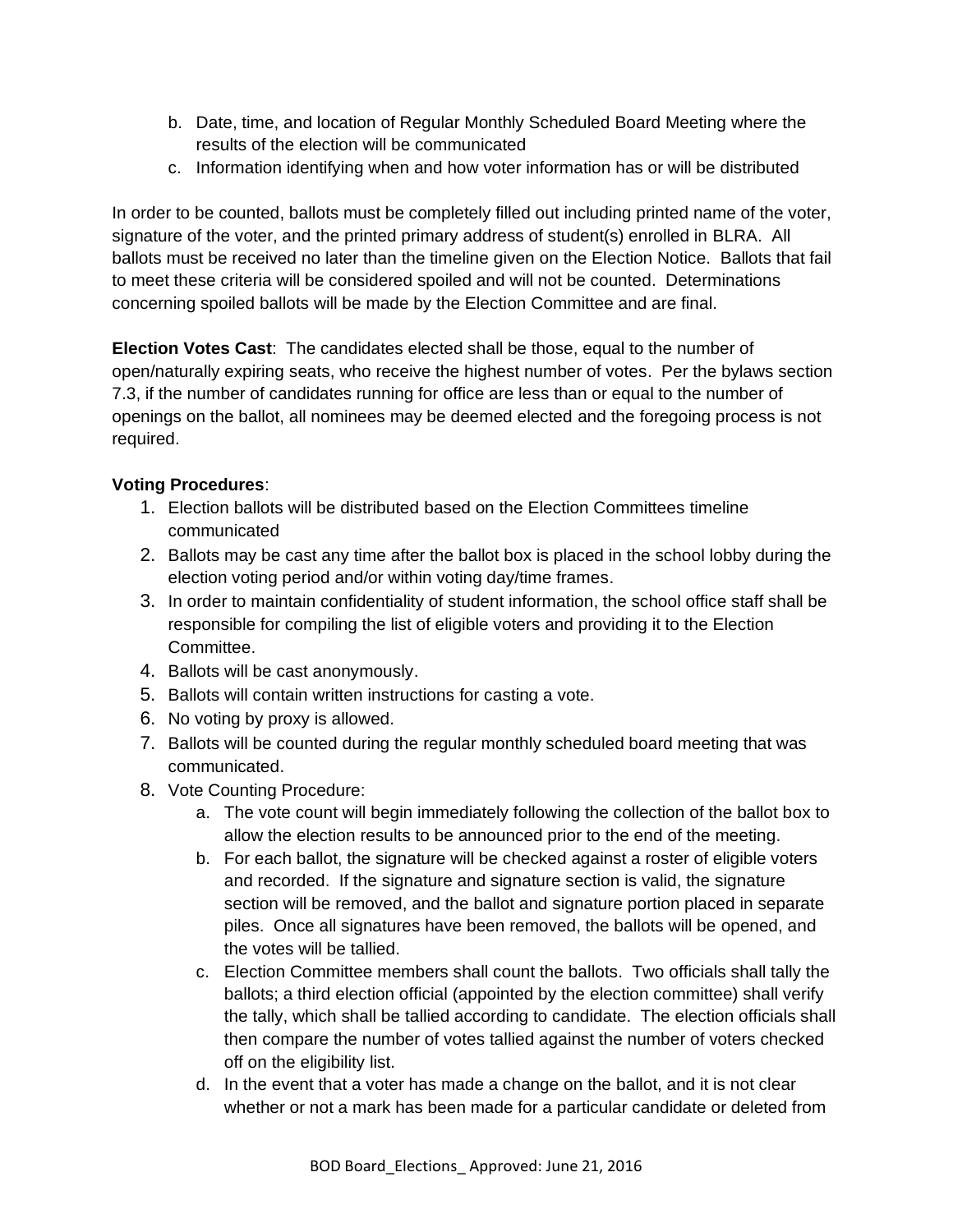- b. Date, time, and location of Regular Monthly Scheduled Board Meeting where the results of the election will be communicated
- c. Information identifying when and how voter information has or will be distributed

In order to be counted, ballots must be completely filled out including printed name of the voter, signature of the voter, and the printed primary address of student(s) enrolled in BLRA. All ballots must be received no later than the timeline given on the Election Notice. Ballots that fail to meet these criteria will be considered spoiled and will not be counted. Determinations concerning spoiled ballots will be made by the Election Committee and are final.

**Election Votes Cast**: The candidates elected shall be those, equal to the number of open/naturally expiring seats, who receive the highest number of votes. Per the bylaws section 7.3, if the number of candidates running for office are less than or equal to the number of openings on the ballot, all nominees may be deemed elected and the foregoing process is not required.

## **Voting Procedures**:

- 1. Election ballots will be distributed based on the Election Committees timeline communicated
- 2. Ballots may be cast any time after the ballot box is placed in the school lobby during the election voting period and/or within voting day/time frames.
- 3. In order to maintain confidentiality of student information, the school office staff shall be responsible for compiling the list of eligible voters and providing it to the Election Committee.
- 4. Ballots will be cast anonymously.
- 5. Ballots will contain written instructions for casting a vote.
- 6. No voting by proxy is allowed.
- 7. Ballots will be counted during the regular monthly scheduled board meeting that was communicated.
- 8. Vote Counting Procedure:
	- a. The vote count will begin immediately following the collection of the ballot box to allow the election results to be announced prior to the end of the meeting.
	- b. For each ballot, the signature will be checked against a roster of eligible voters and recorded. If the signature and signature section is valid, the signature section will be removed, and the ballot and signature portion placed in separate piles. Once all signatures have been removed, the ballots will be opened, and the votes will be tallied.
	- c. Election Committee members shall count the ballots. Two officials shall tally the ballots; a third election official (appointed by the election committee) shall verify the tally, which shall be tallied according to candidate. The election officials shall then compare the number of votes tallied against the number of voters checked off on the eligibility list.
	- d. In the event that a voter has made a change on the ballot, and it is not clear whether or not a mark has been made for a particular candidate or deleted from